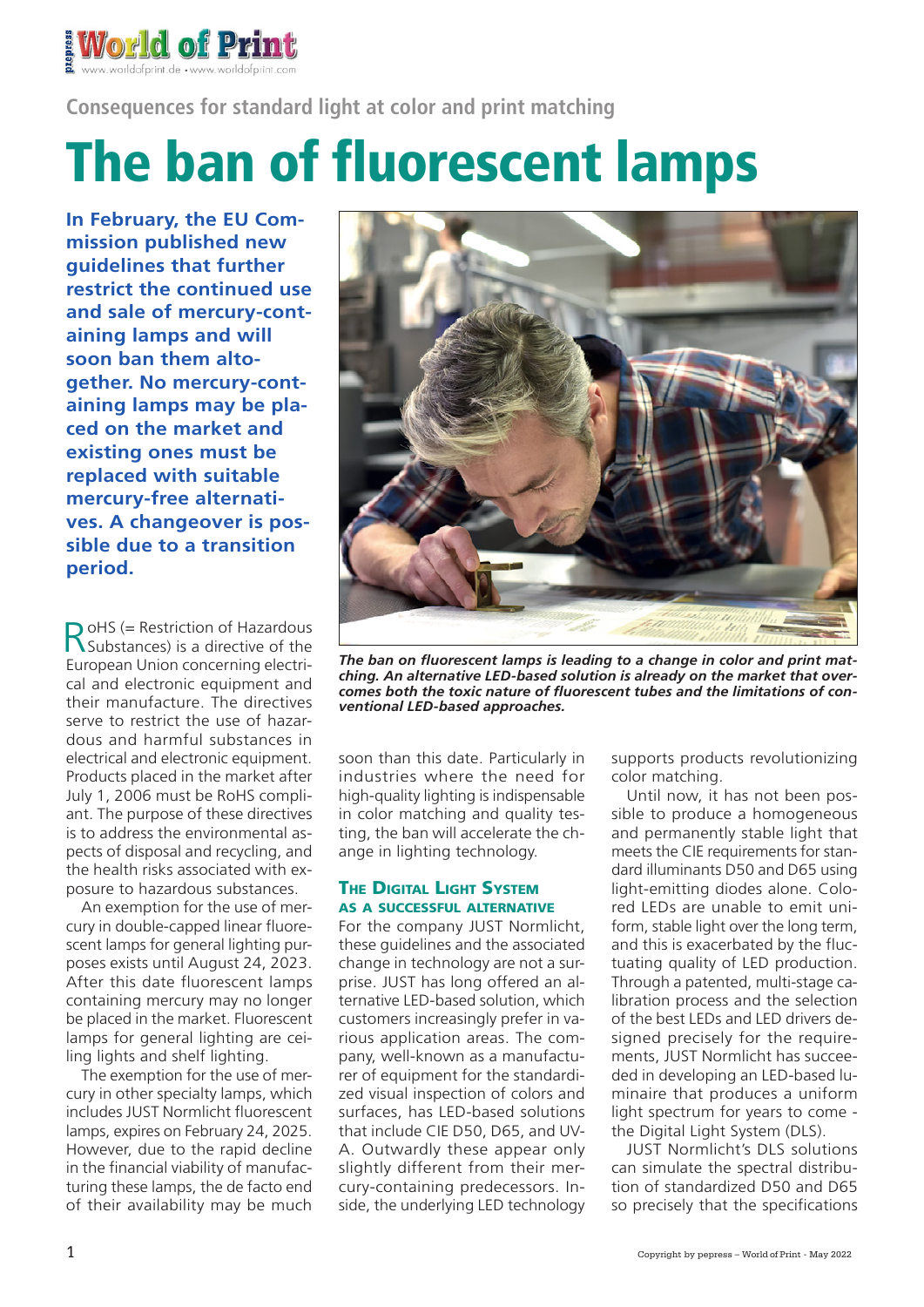

**Consequences for standard light at color and print matching**

## The ban of fluorescent lamps

**In February, the EU Commission published new guidelines that further restrict the continued use and sale of mercury-containing lamps and will soon ban them altogether. No mercury-containing lamps may be placed on the market and existing ones must be replaced with suitable mercury-free alternatives. A changeover is possible due to a transition period.**

RoHS (= Restriction of Hazardous Substances) is a directive of the European Union concerning electrical and electronic equipment and their manufacture. The directives serve to restrict the use of hazardous and harmful substances in electrical and electronic equipment. Products placed in the market after July 1, 2006 must be RoHS compliant. The purpose of these directives is to address the environmental aspects of disposal and recycling, and the health risks associated with exposure to hazardous substances.

An exemption for the use of mercury in double-capped linear fluorescent lamps for general lighting purposes exists until August 24, 2023. After this date fluorescent lamps containing mercury may no longer be placed in the market. Fluorescent lamps for general lighting are ceiling lights and shelf lighting.

The exemption for the use of mercury in other specialty lamps, which includes JUST Normlicht fluorescent lamps, expires on February 24, 2025. However, due to the rapid decline in the financial viability of manufacturing these lamps, the de facto end of their availability may be much



*The ban on fluorescent lamps is leading to a change in color and print matching. An alternative LED-based solution is already on the market that overcomes both the toxic nature of fluorescent tubes and the limitations of conventional LED-based approaches.*

soon than this date. Particularly in industries where the need for high-quality lighting is indispensable in color matching and quality testing, the ban will accelerate the change in lighting technology.

## **THE DIGITAL LIGHT SYSTEM** as a successful alternative

For the company JUST Normlicht, these guidelines and the associated change in technology are not a surprise. JUST has long offered an alternative LED-based solution, which customers increasingly prefer in various application areas. The company, well-known as a manufacturer of equipment for the standardized visual inspection of colors and surfaces, has LED-based solutions that include CIE D50, D65, and UV-A. Outwardly these appear only slightly different from their mercury-containing predecessors. Inside, the underlying LED technology supports products revolutionizing color matching.

Until now, it has not been possible to produce a homogeneous and permanently stable light that meets the CIE requirements for standard illuminants D50 and D65 using light-emitting diodes alone. Colored LEDs are unable to emit uniform, stable light over the long term, and this is exacerbated by the fluctuating quality of LED production. Through a patented, multi-stage calibration process and the selection of the best LEDs and LED drivers designed precisely for the requirements, JUST Normlicht has succeeded in developing an LED-based luminaire that produces a uniform light spectrum for years to come the Digital Light System (DLS).

JUST Normlicht's DLS solutions can simulate the spectral distribution of standardized D50 and D65 so precisely that the specifications